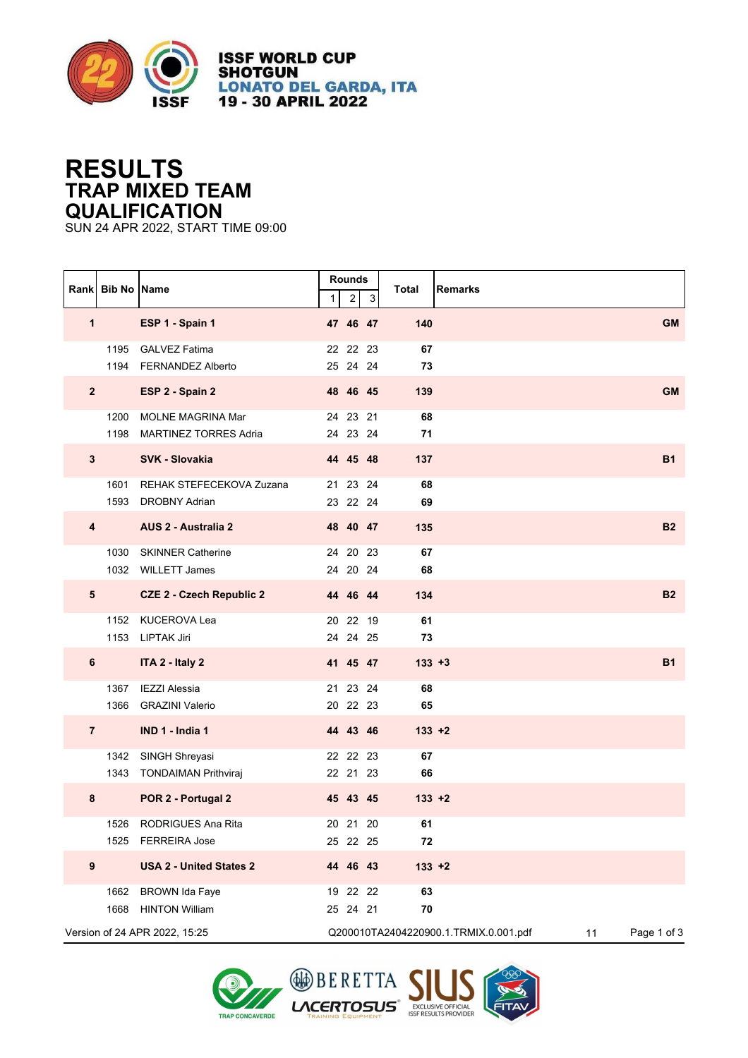

**ISSF WORLD CUP SHOTGUN LONATO DEL GARDA, ITA<br>19 - 30 APRIL 2022** 

## **RESULTS TRAP MIXED TEAM QUALIFICATION**

SUN 24 APR 2022, START TIME 09:00

|                         | Rank Bib No Name |                                                  | 1 | Rounds<br>$\overline{2}$ | 3 | <b>Total</b><br><b>Remarks</b>        |                   |
|-------------------------|------------------|--------------------------------------------------|---|--------------------------|---|---------------------------------------|-------------------|
| $\mathbf 1$             |                  | ESP 1 - Spain 1                                  |   | 47 46 47                 |   | 140                                   | <b>GM</b>         |
|                         |                  | 1195 GALVEZ Fatima<br>1194 FERNANDEZ Alberto     |   | 22 22 23<br>25 24 24     |   | 67<br>73                              |                   |
| $\overline{2}$          |                  | ESP 2 - Spain 2                                  |   | 48 46 45                 |   | 139                                   | <b>GM</b>         |
|                         | 1200             | MOLNE MAGRINA Mar<br>1198 MARTINEZ TORRES Adria  |   | 24 23 21<br>24 23 24     |   | 68<br>71                              |                   |
| $3\phantom{a}$          |                  | <b>SVK - Slovakia</b>                            |   | 44 45 48                 |   | 137                                   | <b>B1</b>         |
|                         | 1601             | REHAK STEFECEKOVA Zuzana<br>1593 DROBNY Adrian   |   | 21 23 24<br>23 22 24     |   | 68<br>69                              |                   |
| $\overline{\mathbf{4}}$ |                  | AUS 2 - Australia 2                              |   | 48 40 47                 |   | 135                                   | <b>B2</b>         |
|                         |                  | 1030 SKINNER Catherine<br>1032 WILLETT James     |   | 24 20 23<br>24 20 24     |   | 67<br>68                              |                   |
| $5\phantom{.0}$         |                  | <b>CZE 2 - Czech Republic 2</b>                  |   | 44 46 44                 |   | 134                                   | <b>B2</b>         |
|                         |                  | 1152 KUCEROVA Lea<br>1153 LIPTAK Jiri            |   | 20 22 19<br>24 24 25     |   | 61<br>73                              |                   |
| 6                       |                  | ITA 2 - Italy 2                                  |   | 41 45 47                 |   | $133 + 3$                             | <b>B1</b>         |
|                         | 1367             | IEZZI Alessia<br>1366 GRAZINI Valerio            |   | 21 23 24<br>20 22 23     |   | 68<br>65                              |                   |
| $\overline{7}$          |                  | IND 1 - India 1                                  |   | 44 43 46                 |   | $133 + 2$                             |                   |
|                         |                  | 1342 SINGH Shreyasi<br>1343 TONDAIMAN Prithviraj |   | 22 22 23<br>22 21 23     |   | 67<br>66                              |                   |
| 8                       |                  | POR 2 - Portugal 2                               |   | 45 43 45                 |   | $133 + 2$                             |                   |
|                         | 1526<br>1525     | RODRIGUES Ana Rita<br><b>FERREIRA Jose</b>       |   | 20 21 20<br>25 22 25     |   | 61<br>72                              |                   |
| $\boldsymbol{9}$        |                  | <b>USA 2 - United States 2</b>                   |   | 44 46 43                 |   | $133 + 2$                             |                   |
|                         | 1662<br>1668     | <b>BROWN Ida Faye</b><br><b>HINTON William</b>   |   | 19 22 22<br>25 24 21     |   | 63<br>${\bf 70}$                      |                   |
|                         |                  | Version of 24 APR 2022, 15:25                    |   |                          |   | Q200010TA2404220900.1.TRMIX.0.001.pdf | Page 1 of 3<br>11 |



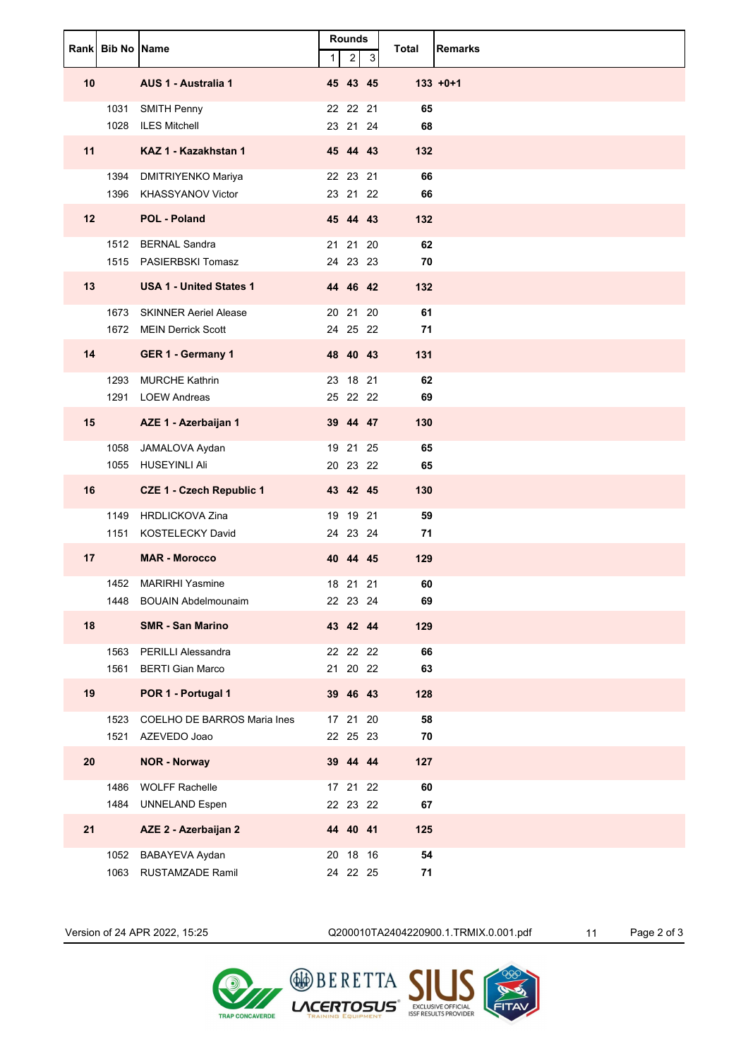|                 | <b>Rankl Bib No IName</b> |                                                       | $\mathbf{1}$ | <b>Rounds</b><br>$\overline{c}$ | 3 | Total    | <b>Remarks</b> |
|-----------------|---------------------------|-------------------------------------------------------|--------------|---------------------------------|---|----------|----------------|
| 10              |                           | AUS 1 - Australia 1                                   |              | 45 43 45                        |   |          | $133 + 0 + 1$  |
|                 |                           | 1031 SMITH Penny<br>1028 ILES Mitchell                |              | 22 22 21<br>23 21 24            |   | 65<br>68 |                |
| 11              |                           | KAZ 1 - Kazakhstan 1                                  |              | 45 44 43                        |   | 132      |                |
|                 |                           | 1394 DMITRIYENKO Mariya<br>1396 KHASSYANOV Victor     |              | 22 23 21<br>23 21 22            |   | 66<br>66 |                |
| 12 <sup>2</sup> |                           | <b>POL - Poland</b>                                   |              | 45 44 43                        |   | 132      |                |
|                 |                           | 1512 BERNAL Sandra<br>1515 PASIERBSKI Tomasz          |              | 21 21 20<br>24 23 23            |   | 62<br>70 |                |
| 13              |                           | <b>USA 1 - United States 1</b>                        |              | 44 46 42                        |   | 132      |                |
|                 |                           | 1673 SKINNER Aeriel Alease<br>1672 MEIN Derrick Scott |              | 20 21 20<br>24 25 22            |   | 61<br>71 |                |
| 14              |                           | GER 1 - Germany 1                                     |              | 48 40 43                        |   | 131      |                |
|                 |                           | 1293 MURCHE Kathrin<br>1291 LOEW Andreas              |              | 23 18 21<br>25 22 22            |   | 62<br>69 |                |
| 15              |                           | AZE 1 - Azerbaijan 1                                  |              | 39 44 47                        |   | 130      |                |
|                 |                           | 1058 JAMALOVA Aydan<br>1055 HUSEYINLI Ali             |              | 19 21 25<br>20 23 22            |   | 65<br>65 |                |
| 16              |                           | <b>CZE 1 - Czech Republic 1</b>                       |              | 43 42 45                        |   | 130      |                |
|                 |                           | 1149 HRDLICKOVA Zina<br>1151 KOSTELECKY David         |              | 19 19 21<br>24 23 24            |   | 59<br>71 |                |
| 17              |                           | <b>MAR - Morocco</b>                                  |              | 40 44 45                        |   | 129      |                |
|                 |                           | 1452 MARIRHI Yasmine                                  |              | 18 21 21                        |   | 60       |                |
|                 | 1448                      | <b>BOUAIN Abdelmounaim</b>                            |              | 22 23 24                        |   | 69       |                |
| 18              |                           | <b>SMR - San Marino</b>                               |              | 43 42 44                        |   | 129      |                |
|                 | 1563<br>1561              | <b>PERILLI Alessandra</b><br><b>BERTI Gian Marco</b>  |              | 22 22 22<br>21  20  22          |   | 66<br>63 |                |
| 19              |                           | POR 1 - Portugal 1                                    |              | 39 46 43                        |   | 128      |                |
|                 | 1523<br>1521              | COELHO DE BARROS Maria Ines<br>AZEVEDO Joao           |              | 17 21 20<br>22 25 23            |   | 58<br>70 |                |
| 20              |                           | <b>NOR - Norway</b>                                   |              | 39 44 44                        |   | 127      |                |
|                 | 1486<br>1484              | <b>WOLFF Rachelle</b><br><b>UNNELAND Espen</b>        |              | 17 21 22<br>22 23 22            |   | 60<br>67 |                |
| 21              |                           | AZE 2 - Azerbaijan 2                                  |              | 44 40 41                        |   | 125      |                |
|                 | 1052<br>1063              | BABAYEVA Aydan<br><b>RUSTAMZADE Ramil</b>             |              | 20 18 16<br>24 22 25            |   | 54<br>71 |                |

Version of 24 APR 2022, 15:25 Q200010TA2404220900.1.TRMIX.0.001.pdf 11 Page 2 of 3